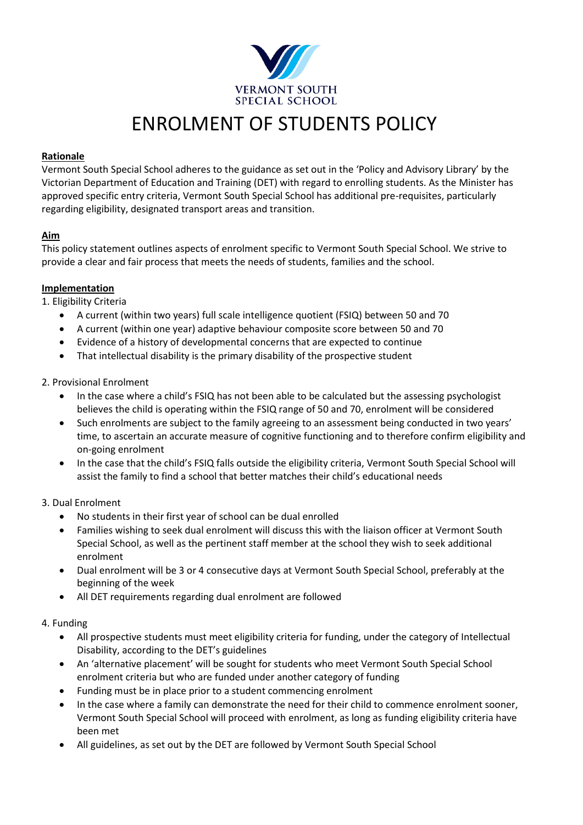

# ENROLMENT OF STUDENTS POLICY

## **Rationale**

Vermont South Special School adheres to the guidance as set out in the 'Policy and Advisory Library' by the Victorian Department of Education and Training (DET) with regard to enrolling students. As the Minister has approved specific entry criteria, Vermont South Special School has additional pre-requisites, particularly regarding eligibility, designated transport areas and transition.

# **Aim**

This policy statement outlines aspects of enrolment specific to Vermont South Special School. We strive to provide a clear and fair process that meets the needs of students, families and the school.

### **Implementation**

1. Eligibility Criteria

- A current (within two years) full scale intelligence quotient (FSIQ) between 50 and 70
- A current (within one year) adaptive behaviour composite score between 50 and 70
- Evidence of a history of developmental concerns that are expected to continue
- That intellectual disability is the primary disability of the prospective student

# 2. Provisional Enrolment

- In the case where a child's FSIQ has not been able to be calculated but the assessing psychologist believes the child is operating within the FSIQ range of 50 and 70, enrolment will be considered
- Such enrolments are subject to the family agreeing to an assessment being conducted in two years' time, to ascertain an accurate measure of cognitive functioning and to therefore confirm eligibility and on-going enrolment
- In the case that the child's FSIQ falls outside the eligibility criteria, Vermont South Special School will assist the family to find a school that better matches their child's educational needs

### 3. Dual Enrolment

- No students in their first year of school can be dual enrolled
- Families wishing to seek dual enrolment will discuss this with the liaison officer at Vermont South Special School, as well as the pertinent staff member at the school they wish to seek additional enrolment
- Dual enrolment will be 3 or 4 consecutive days at Vermont South Special School, preferably at the beginning of the week
- All DET requirements regarding dual enrolment are followed

### 4. Funding

- All prospective students must meet eligibility criteria for funding, under the category of Intellectual Disability, according to the DET's guidelines
- An 'alternative placement' will be sought for students who meet Vermont South Special School enrolment criteria but who are funded under another category of funding
- Funding must be in place prior to a student commencing enrolment
- In the case where a family can demonstrate the need for their child to commence enrolment sooner, Vermont South Special School will proceed with enrolment, as long as funding eligibility criteria have been met
- All guidelines, as set out by the DET are followed by Vermont South Special School